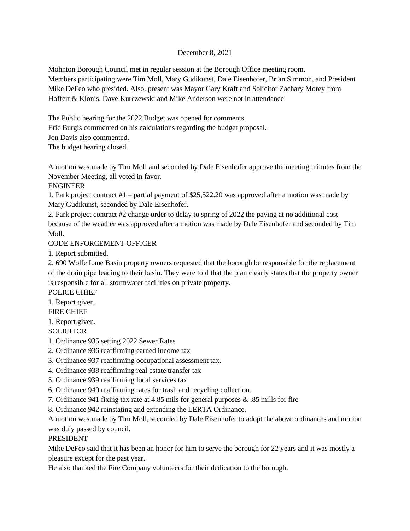## December 8, 2021

Mohnton Borough Council met in regular session at the Borough Office meeting room. Members participating were Tim Moll, Mary Gudikunst, Dale Eisenhofer, Brian Simmon, and President Mike DeFeo who presided. Also, present was Mayor Gary Kraft and Solicitor Zachary Morey from Hoffert & Klonis. Dave Kurczewski and Mike Anderson were not in attendance

The Public hearing for the 2022 Budget was opened for comments.

Eric Burgis commented on his calculations regarding the budget proposal.

Jon Davis also commented.

The budget hearing closed.

A motion was made by Tim Moll and seconded by Dale Eisenhofer approve the meeting minutes from the November Meeting, all voted in favor.

# ENGINEER

1. Park project contract #1 – partial payment of \$25,522.20 was approved after a motion was made by Mary Gudikunst, seconded by Dale Eisenhofer.

2. Park project contract #2 change order to delay to spring of 2022 the paving at no additional cost because of the weather was approved after a motion was made by Dale Eisenhofer and seconded by Tim Moll.

## CODE ENFORCEMENT OFFICER

1. Report submitted.

2. 690 Wolfe Lane Basin property owners requested that the borough be responsible for the replacement of the drain pipe leading to their basin. They were told that the plan clearly states that the property owner is responsible for all stormwater facilities on private property.

POLICE CHIEF

1. Report given.

FIRE CHIEF

1. Report given.

**SOLICITOR** 

- 1. Ordinance 935 setting 2022 Sewer Rates
- 2. Ordinance 936 reaffirming earned income tax
- 3. Ordinance 937 reaffirming occupational assessment tax.
- 4. Ordinance 938 reaffirming real estate transfer tax
- 5. Ordinance 939 reaffirming local services tax
- 6. Ordinance 940 reaffirming rates for trash and recycling collection.
- 7. Ordinance 941 fixing tax rate at 4.85 mils for general purposes & .85 mills for fire

8. Ordinance 942 reinstating and extending the LERTA Ordinance.

A motion was made by Tim Moll, seconded by Dale Eisenhofer to adopt the above ordinances and motion was duly passed by council.

#### PRESIDENT

Mike DeFeo said that it has been an honor for him to serve the borough for 22 years and it was mostly a pleasure except for the past year.

He also thanked the Fire Company volunteers for their dedication to the borough.